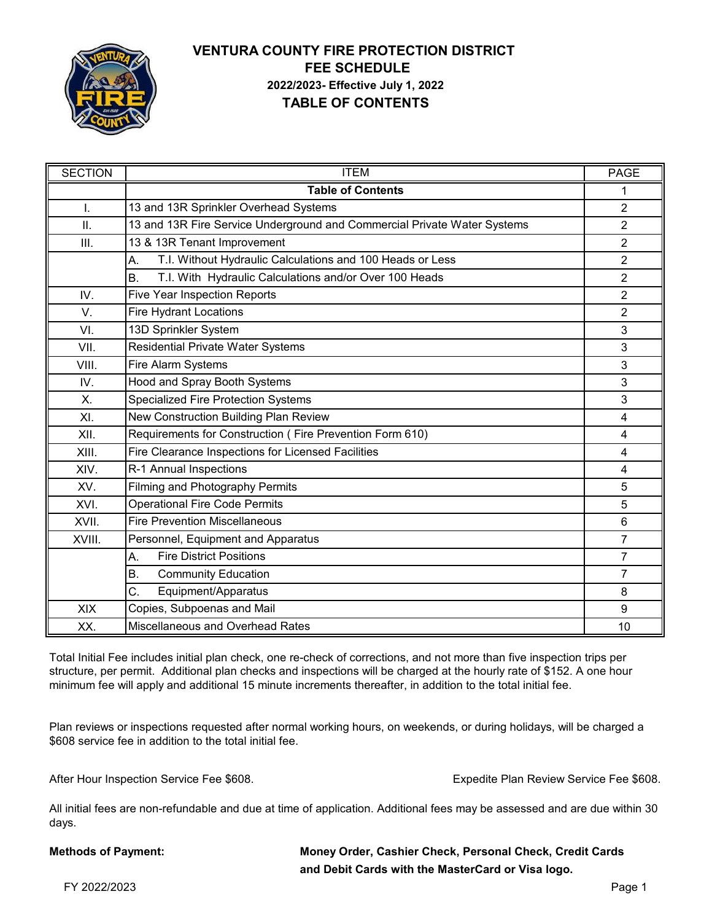

# **VENTURA COUNTY FIRE PROTECTION DISTRICT 2022/2023- Effective July 1, 2022 TABLE OF CONTENTS FEE SCHEDULE**

| <b>SECTION</b> | <b>ITEM</b>                                                              | <b>PAGE</b>    |
|----------------|--------------------------------------------------------------------------|----------------|
|                | <b>Table of Contents</b>                                                 | 1              |
| I.             | 13 and 13R Sprinkler Overhead Systems                                    | $\overline{2}$ |
| Ш.             | 13 and 13R Fire Service Underground and Commercial Private Water Systems | $\overline{2}$ |
| Ш.             | 13 & 13R Tenant Improvement                                              | $\overline{2}$ |
|                | T.I. Without Hydraulic Calculations and 100 Heads or Less<br>А.          | $\overline{2}$ |
|                | T.I. With Hydraulic Calculations and/or Over 100 Heads<br>B.             | $\overline{2}$ |
| IV.            | <b>Five Year Inspection Reports</b>                                      | $\overline{2}$ |
| V.             | <b>Fire Hydrant Locations</b>                                            | $\overline{2}$ |
| VI.            | 13D Sprinkler System                                                     | 3              |
| VII.           | <b>Residential Private Water Systems</b>                                 | 3              |
| VIII.          | Fire Alarm Systems                                                       | 3              |
| IV.            | Hood and Spray Booth Systems                                             | 3              |
| X.             | <b>Specialized Fire Protection Systems</b>                               | 3              |
| XI.            | New Construction Building Plan Review                                    | 4              |
| XII.           | Requirements for Construction (Fire Prevention Form 610)                 | 4              |
| XIII.          | Fire Clearance Inspections for Licensed Facilities                       | 4              |
| XIV.           | R-1 Annual Inspections                                                   | 4              |
| XV.            | <b>Filming and Photography Permits</b>                                   | 5              |
| XVI.           | <b>Operational Fire Code Permits</b>                                     | 5              |
| XVII.          | <b>Fire Prevention Miscellaneous</b>                                     | 6              |
| XVIII.         | Personnel, Equipment and Apparatus                                       | $\overline{7}$ |
|                | <b>Fire District Positions</b><br>А.                                     | $\overline{7}$ |
|                | Β.<br><b>Community Education</b>                                         | $\overline{7}$ |
|                | Equipment/Apparatus<br>C.                                                | 8              |
| <b>XIX</b>     | Copies, Subpoenas and Mail                                               | 9              |
| XX.            | Miscellaneous and Overhead Rates                                         | 10             |

Total Initial Fee includes initial plan check, one re-check of corrections, and not more than five inspection trips per structure, per permit. Additional plan checks and inspections will be charged at the hourly rate of \$152. A one hour minimum fee will apply and additional 15 minute increments thereafter, in addition to the total initial fee.

Plan reviews or inspections requested after normal working hours, on weekends, or during holidays, will be charged a \$608 service fee in addition to the total initial fee.

After Hour Inspection Service Fee \$608. The Service Plan Review Service Fee \$608.

All initial fees are non-refundable and due at time of application. Additional fees may be assessed and are due within 30 days.

| <b>Methods of Payment:</b> | Money Order, Cashier Check, Personal Check, Credit Cards |
|----------------------------|----------------------------------------------------------|
|                            | and Debit Cards with the MasterCard or Visa logo.        |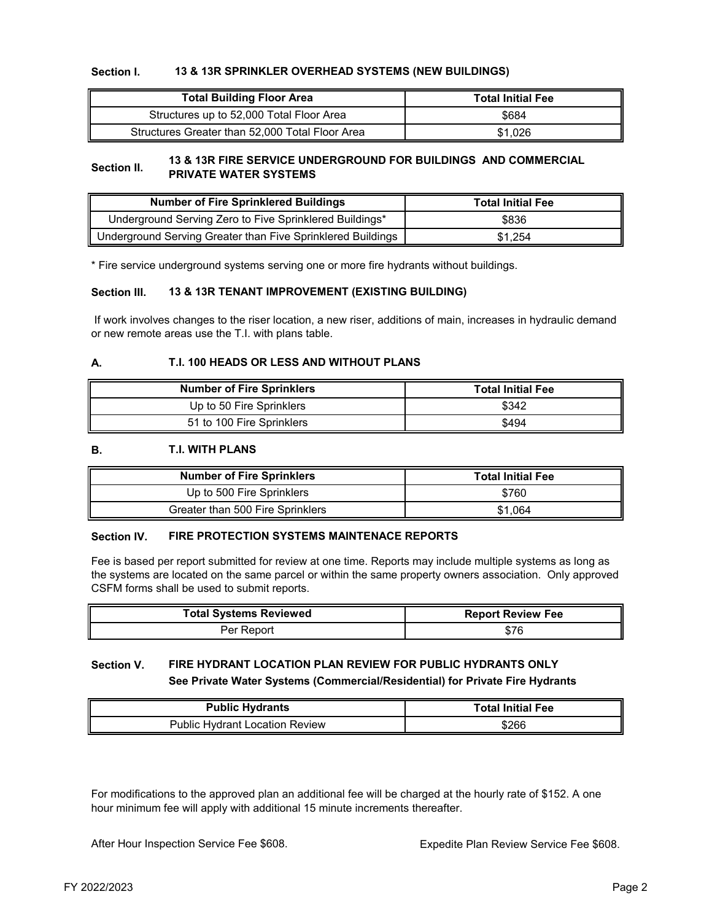#### **Section I. 13 & 13R SPRINKLER OVERHEAD SYSTEMS (NEW BUILDINGS)**

| <b>Total Building Floor Area</b>                | <b>Total Initial Fee</b> |
|-------------------------------------------------|--------------------------|
| Structures up to 52,000 Total Floor Area        | \$684                    |
| Structures Greater than 52,000 Total Floor Area | \$1.026                  |

#### **Section II. 13 & 13R FIRE SERVICE UNDERGROUND FOR BUILDINGS AND COMMERCIAL PRIVATE WATER SYSTEMS**

| <b>Number of Fire Sprinklered Buildings</b>                 | <b>Total Initial Fee</b> |
|-------------------------------------------------------------|--------------------------|
| Underground Serving Zero to Five Sprinklered Buildings*     | \$836                    |
| Underground Serving Greater than Five Sprinklered Buildings | \$1.254                  |

\* Fire service underground systems serving one or more fire hydrants without buildings.

#### **Section III. 13 & 13R TENANT IMPROVEMENT (EXISTING BUILDING)**

 If work involves changes to the riser location, a new riser, additions of main, increases in hydraulic demand or new remote areas use the T.I. with plans table.

#### **A. T.I. 100 HEADS OR LESS AND WITHOUT PLANS**

| <b>Number of Fire Sprinklers</b> | <b>Total Initial Fee</b> |
|----------------------------------|--------------------------|
| Up to 50 Fire Sprinklers         | \$342                    |
| 51 to 100 Fire Sprinklers        | \$494                    |

#### **B. T.I. WITH PLANS**

| <b>Number of Fire Sprinklers</b> | <b>Total Initial Fee</b> |
|----------------------------------|--------------------------|
| Up to 500 Fire Sprinklers        | \$760                    |
| Greater than 500 Fire Sprinklers | \$1.064                  |

#### **Section IV. FIRE PROTECTION SYSTEMS MAINTENACE REPORTS**

Fee is based per report submitted for review at one time. Reports may include multiple systems as long as the systems are located on the same parcel or within the same property owners association. Only approved CSFM forms shall be used to submit reports.

| <b>Total Systems Reviewed</b> | <b>Report Review Fee</b> |
|-------------------------------|--------------------------|
| Per Report                    |                          |

#### **Section V. FIRE HYDRANT LOCATION PLAN REVIEW FOR PUBLIC HYDRANTS ONLY See Private Water Systems (Commercial/Residential) for Private Fire Hydrants**

| <b>Public Hydrants</b>                | <b>Total Initial Fee</b> |
|---------------------------------------|--------------------------|
| <b>Public Hydrant Location Review</b> | \$266                    |

For modifications to the approved plan an additional fee will be charged at the hourly rate of \$152. A one hour minimum fee will apply with additional 15 minute increments thereafter.

After Hour Inspection Service Fee \$608.

Expedite Plan Review Service Fee \$608.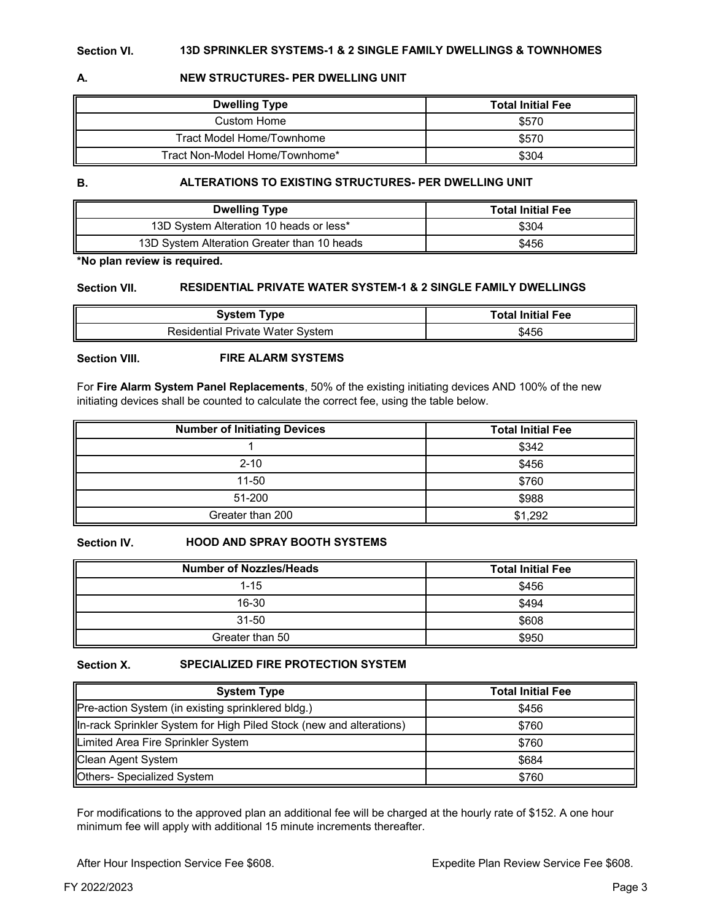# **A. NEW STRUCTURES- PER DWELLING UNIT**

| <b>Dwelling Type</b>           | <b>Total Initial Fee</b> |
|--------------------------------|--------------------------|
| Custom Home                    | \$570                    |
| Tract Model Home/Townhome      | \$570                    |
| Tract Non-Model Home/Townhome* | \$304                    |

**B.**

### **ALTERATIONS TO EXISTING STRUCTURES- PER DWELLING UNIT**

| <b>Dwelling Type</b>                        | <b>Total Initial Fee</b> |
|---------------------------------------------|--------------------------|
| 13D System Alteration 10 heads or less*     | \$304                    |
| 13D System Alteration Greater than 10 heads | \$456                    |

**\*No plan review is required.**

#### **Section VII. RESIDENTIAL PRIVATE WATER SYSTEM-1 & 2 SINGLE FAMILY DWELLINGS**

| <b>System Type</b>                      | <b>Total Initial Fee</b> |
|-----------------------------------------|--------------------------|
| <b>Residential Private Water System</b> | \$456                    |

**Section VIII. FIRE ALARM SYSTEMS**

For **Fire Alarm System Panel Replacements**, 50% of the existing initiating devices AND 100% of the new initiating devices shall be counted to calculate the correct fee, using the table below.

| <b>Number of Initiating Devices</b> | <b>Total Initial Fee</b> |
|-------------------------------------|--------------------------|
|                                     | \$342                    |
| $2 - 10$                            | \$456                    |
| 11-50                               | \$760                    |
| 51-200                              | \$988                    |
| Greater than 200                    | \$1,292                  |

**Section IV.**

#### **HOOD AND SPRAY BOOTH SYSTEMS**

| <b>Number of Nozzles/Heads</b> | <b>Total Initial Fee</b> |
|--------------------------------|--------------------------|
| $1 - 15$                       | \$456                    |
| $16 - 30$                      | \$494                    |
| 31-50                          | \$608                    |
| Greater than 50                | \$950                    |

**Section X.**

#### **SPECIALIZED FIRE PROTECTION SYSTEM**

| <b>System Type</b>                                                  | <b>Total Initial Fee</b> |
|---------------------------------------------------------------------|--------------------------|
| Pre-action System (in existing sprinklered bldg.)                   | \$456                    |
| In-rack Sprinkler System for High Piled Stock (new and alterations) | \$760                    |
| Limited Area Fire Sprinkler System                                  | \$760                    |
| Clean Agent System                                                  | \$684                    |
| Others- Specialized System                                          | \$760                    |

For modifications to the approved plan an additional fee will be charged at the hourly rate of \$152. A one hour minimum fee will apply with additional 15 minute increments thereafter.

After Hour Inspection Service Fee \$608.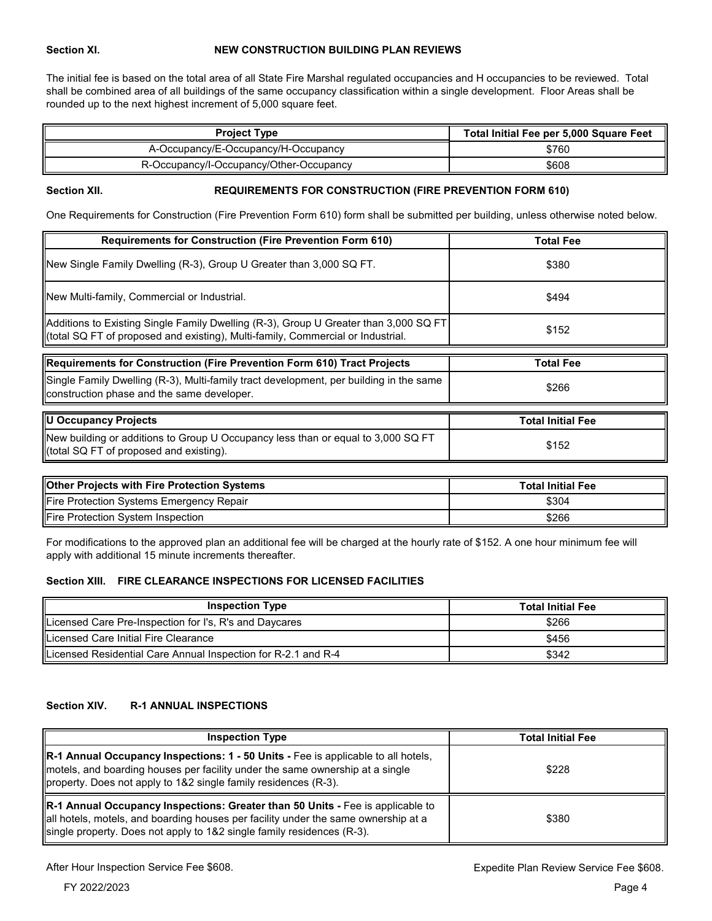#### **Section XI. NEW CONSTRUCTION BUILDING PLAN REVIEWS**

The initial fee is based on the total area of all State Fire Marshal regulated occupancies and H occupancies to be reviewed. Total shall be combined area of all buildings of the same occupancy classification within a single development. Floor Areas shall be rounded up to the next highest increment of 5,000 square feet.

| <b>Project Type</b>                     | Total Initial Fee per 5,000 Square Feet |  |
|-----------------------------------------|-----------------------------------------|--|
| A-Occupancy/E-Occupancy/H-Occupancy     | \$760                                   |  |
| R-Occupancy/I-Occupancy/Other-Occupancy | \$608                                   |  |

#### **Section XII. REQUIREMENTS FOR CONSTRUCTION (FIRE PREVENTION FORM 610)**

One Requirements for Construction (Fire Prevention Form 610) form shall be submitted per building, unless otherwise noted below.

| <b>Requirements for Construction (Fire Prevention Form 610)</b>                                                                                                         | <b>Total Fee</b>         |  |
|-------------------------------------------------------------------------------------------------------------------------------------------------------------------------|--------------------------|--|
| New Single Family Dwelling (R-3), Group U Greater than 3,000 SQ FT.                                                                                                     | \$380                    |  |
| <b>New Multi-family, Commercial or Industrial.</b>                                                                                                                      | \$494                    |  |
| Additions to Existing Single Family Dwelling (R-3), Group U Greater than 3,000 SQ FT<br>Itotal SQ FT of proposed and existing), Multi-family, Commercial or Industrial. | \$152                    |  |
|                                                                                                                                                                         |                          |  |
| Requirements for Construction (Fire Prevention Form 610) Tract Projects                                                                                                 | Total Fee                |  |
| Single Family Dwelling (R-3), Multi-family tract development, per building in the same<br>construction phase and the same developer.                                    | \$266                    |  |
|                                                                                                                                                                         |                          |  |
| U Occupancy Projects                                                                                                                                                    | <b>Total Initial Fee</b> |  |
| New building or additions to Group U Occupancy less than or equal to 3,000 SQ FT<br>(total SQ FT of proposed and existing).                                             | \$152                    |  |

| <b>Other Projects with Fire Protection Systems</b> | <b>Total Initial Fee</b> |
|----------------------------------------------------|--------------------------|
| Fire Protection Systems Emergency Repair           | \$304                    |
| Fire Protection System Inspection                  | \$266                    |

For modifications to the approved plan an additional fee will be charged at the hourly rate of \$152. A one hour minimum fee will apply with additional 15 minute increments thereafter.

#### **Section XIII. FIRE CLEARANCE INSPECTIONS FOR LICENSED FACILITIES**

| <b>Inspection Type</b>                                        | <b>Total Initial Fee</b> |
|---------------------------------------------------------------|--------------------------|
| Licensed Care Pre-Inspection for I's, R's and Daycares        | \$266                    |
| Licensed Care Initial Fire Clearance                          | \$456                    |
| Licensed Residential Care Annual Inspection for R-2.1 and R-4 | \$342                    |

## **Section XIV. R-1 ANNUAL INSPECTIONS**

| <b>Inspection Type</b>                                                                                                                                                                                                                                    | <b>Total Initial Fee</b> |
|-----------------------------------------------------------------------------------------------------------------------------------------------------------------------------------------------------------------------------------------------------------|--------------------------|
| $\mathbb R$ -1 Annual Occupancy Inspections: 1 - 50 Units - Fee is applicable to all hotels,<br>motels, and boarding houses per facility under the same ownership at a single<br>property. Does not apply to 1&2 single family residences (R-3).          | \$228                    |
| $\mathbb R$ -1 Annual Occupancy Inspections: Greater than 50 Units - Fee is applicable to<br>all hotels, motels, and boarding houses per facility under the same ownership at a<br>single property. Does not apply to 1&2 single family residences (R-3). | \$380                    |

After Hour Inspection Service Fee \$608.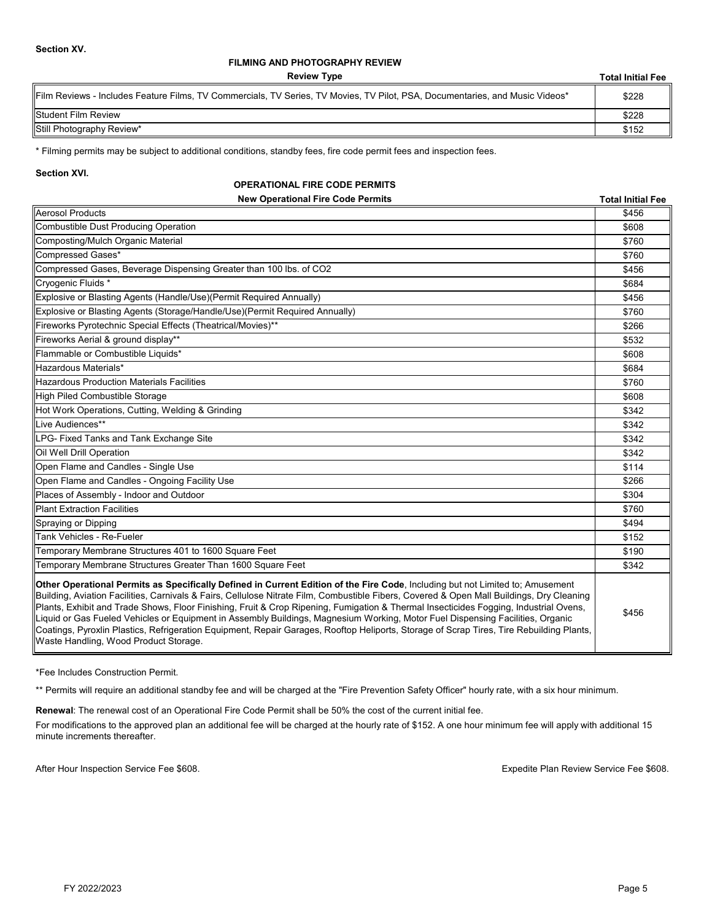#### **FILMING AND PHOTOGRAPHY REVIEW**

**Review Type**

**Total Initial Fee**

| Film Reviews - Includes Feature Films, TV Commercials, TV Series, TV Movies, TV Pilot, PSA, Documentaries, and Music Videos* | \$228 |
|------------------------------------------------------------------------------------------------------------------------------|-------|
| Student Film Review                                                                                                          | \$228 |
| Still Photography Review*                                                                                                    | \$152 |

\* Filming permits may be subject to additional conditions, standby fees, fire code permit fees and inspection fees.

**Section XVI.**

#### **OPERATIONAL FIRE CODE PERMITS**

| <b>New Operational Fire Code Permits</b>                                                                                                                                                                                                                                                                                                                                                                                                                                                                                                                                                                                                                                                                                                    | <b>Total Initial Fee</b> |
|---------------------------------------------------------------------------------------------------------------------------------------------------------------------------------------------------------------------------------------------------------------------------------------------------------------------------------------------------------------------------------------------------------------------------------------------------------------------------------------------------------------------------------------------------------------------------------------------------------------------------------------------------------------------------------------------------------------------------------------------|--------------------------|
| Aerosol Products                                                                                                                                                                                                                                                                                                                                                                                                                                                                                                                                                                                                                                                                                                                            | \$456                    |
| Combustible Dust Producing Operation                                                                                                                                                                                                                                                                                                                                                                                                                                                                                                                                                                                                                                                                                                        | \$608                    |
| Composting/Mulch Organic Material                                                                                                                                                                                                                                                                                                                                                                                                                                                                                                                                                                                                                                                                                                           | \$760                    |
| Compressed Gases*                                                                                                                                                                                                                                                                                                                                                                                                                                                                                                                                                                                                                                                                                                                           | \$760                    |
| Compressed Gases, Beverage Dispensing Greater than 100 lbs. of CO2                                                                                                                                                                                                                                                                                                                                                                                                                                                                                                                                                                                                                                                                          | \$456                    |
| Cryogenic Fluids *                                                                                                                                                                                                                                                                                                                                                                                                                                                                                                                                                                                                                                                                                                                          | \$684                    |
| Explosive or Blasting Agents (Handle/Use) (Permit Required Annually)                                                                                                                                                                                                                                                                                                                                                                                                                                                                                                                                                                                                                                                                        | \$456                    |
| Explosive or Blasting Agents (Storage/Handle/Use)(Permit Required Annually)                                                                                                                                                                                                                                                                                                                                                                                                                                                                                                                                                                                                                                                                 | \$760                    |
| Fireworks Pyrotechnic Special Effects (Theatrical/Movies)**                                                                                                                                                                                                                                                                                                                                                                                                                                                                                                                                                                                                                                                                                 | \$266                    |
| Fireworks Aerial & ground display**                                                                                                                                                                                                                                                                                                                                                                                                                                                                                                                                                                                                                                                                                                         | \$532                    |
| Flammable or Combustible Liquids*                                                                                                                                                                                                                                                                                                                                                                                                                                                                                                                                                                                                                                                                                                           | \$608                    |
| Hazardous Materials*                                                                                                                                                                                                                                                                                                                                                                                                                                                                                                                                                                                                                                                                                                                        | \$684                    |
| <b>Hazardous Production Materials Facilities</b>                                                                                                                                                                                                                                                                                                                                                                                                                                                                                                                                                                                                                                                                                            | \$760                    |
| High Piled Combustible Storage                                                                                                                                                                                                                                                                                                                                                                                                                                                                                                                                                                                                                                                                                                              | \$608                    |
| Hot Work Operations, Cutting, Welding & Grinding                                                                                                                                                                                                                                                                                                                                                                                                                                                                                                                                                                                                                                                                                            | \$342                    |
| Live Audiences**                                                                                                                                                                                                                                                                                                                                                                                                                                                                                                                                                                                                                                                                                                                            | \$342                    |
| LPG- Fixed Tanks and Tank Exchange Site                                                                                                                                                                                                                                                                                                                                                                                                                                                                                                                                                                                                                                                                                                     | \$342                    |
| <b>Oil Well Drill Operation</b>                                                                                                                                                                                                                                                                                                                                                                                                                                                                                                                                                                                                                                                                                                             | \$342                    |
| Open Flame and Candles - Single Use                                                                                                                                                                                                                                                                                                                                                                                                                                                                                                                                                                                                                                                                                                         | \$114                    |
| Open Flame and Candles - Ongoing Facility Use                                                                                                                                                                                                                                                                                                                                                                                                                                                                                                                                                                                                                                                                                               | \$266                    |
| Places of Assembly - Indoor and Outdoor                                                                                                                                                                                                                                                                                                                                                                                                                                                                                                                                                                                                                                                                                                     | \$304                    |
| <b>Plant Extraction Facilities</b>                                                                                                                                                                                                                                                                                                                                                                                                                                                                                                                                                                                                                                                                                                          | \$760                    |
| Spraying or Dipping                                                                                                                                                                                                                                                                                                                                                                                                                                                                                                                                                                                                                                                                                                                         | \$494                    |
| Tank Vehicles - Re-Fueler                                                                                                                                                                                                                                                                                                                                                                                                                                                                                                                                                                                                                                                                                                                   | \$152                    |
| Temporary Membrane Structures 401 to 1600 Square Feet                                                                                                                                                                                                                                                                                                                                                                                                                                                                                                                                                                                                                                                                                       | \$190                    |
| Temporary Membrane Structures Greater Than 1600 Square Feet                                                                                                                                                                                                                                                                                                                                                                                                                                                                                                                                                                                                                                                                                 | \$342                    |
| Other Operational Permits as Specifically Defined in Current Edition of the Fire Code, Including but not Limited to; Amusement<br>Building, Aviation Facilities, Carnivals & Fairs, Cellulose Nitrate Film, Combustible Fibers, Covered & Open Mall Buildings, Dry Cleaning<br>Plants, Exhibit and Trade Shows, Floor Finishing, Fruit & Crop Ripening, Fumigation & Thermal Insecticides Fogging, Industrial Ovens,<br>Liquid or Gas Fueled Vehicles or Equipment in Assembly Buildings, Magnesium Working, Motor Fuel Dispensing Facilities, Organic<br>Coatings, Pyroxlin Plastics, Refrigeration Equipment, Repair Garages, Rooftop Heliports, Storage of Scrap Tires, Tire Rebuilding Plants,<br>Waste Handling, Wood Product Storage. | \$456                    |

\*Fee Includes Construction Permit.

\*\* Permits will require an additional standby fee and will be charged at the "Fire Prevention Safety Officer" hourly rate, with a six hour minimum.

**Renewal**: The renewal cost of an Operational Fire Code Permit shall be 50% the cost of the current initial fee.

For modifications to the approved plan an additional fee will be charged at the hourly rate of \$152. A one hour minimum fee will apply with additional 15 minute increments thereafter.

After Hour Inspection Service Fee \$608.

Expedite Plan Review Service Fee \$608.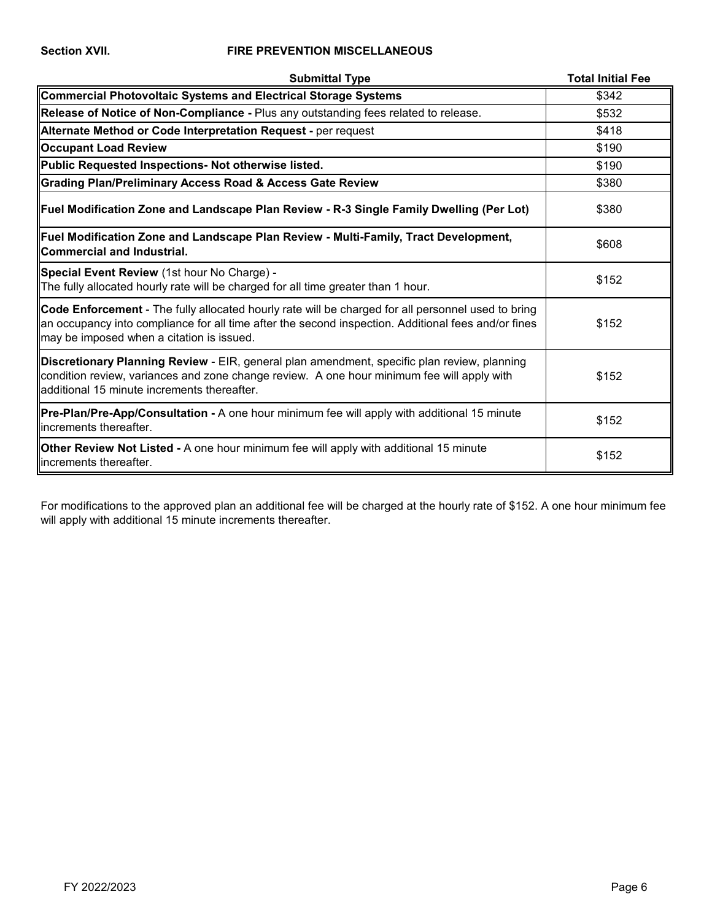### **Section XVII. FIRE PREVENTION MISCELLANEOUS**

| <b>Submittal Type</b>                                                                                                                                                                                                                                         | <b>Total Initial Fee</b> |
|---------------------------------------------------------------------------------------------------------------------------------------------------------------------------------------------------------------------------------------------------------------|--------------------------|
| Commercial Photovoltaic Systems and Electrical Storage Systems                                                                                                                                                                                                | \$342                    |
| Release of Notice of Non-Compliance - Plus any outstanding fees related to release.                                                                                                                                                                           | \$532                    |
| Alternate Method or Code Interpretation Request - per request                                                                                                                                                                                                 | \$418                    |
| <b>Occupant Load Review</b>                                                                                                                                                                                                                                   | \$190                    |
| Public Requested Inspections- Not otherwise listed.                                                                                                                                                                                                           | \$190                    |
| <b>Crading Plan/Preliminary Access Road &amp; Access Gate Review</b>                                                                                                                                                                                          | \$380                    |
| Fuel Modification Zone and Landscape Plan Review - R-3 Single Family Dwelling (Per Lot)                                                                                                                                                                       | \$380                    |
| Fuel Modification Zone and Landscape Plan Review - Multi-Family, Tract Development,<br>Commercial and Industrial.                                                                                                                                             | \$608                    |
| Special Event Review (1st hour No Charge) -<br>The fully allocated hourly rate will be charged for all time greater than 1 hour.                                                                                                                              | \$152                    |
| <b>Code Enforcement</b> - The fully allocated hourly rate will be charged for all personnel used to bring<br>an occupancy into compliance for all time after the second inspection. Additional fees and/or fines<br>may be imposed when a citation is issued. | \$152                    |
| Discretionary Planning Review - EIR, general plan amendment, specific plan review, planning<br>condition review, variances and zone change review. A one hour minimum fee will apply with<br>ladditional 15 minute increments thereafter.                     | \$152                    |
| Pre-Plan/Pre-App/Consultation - A one hour minimum fee will apply with additional 15 minute<br>increments thereafter.                                                                                                                                         | \$152                    |
| <b>Other Review Not Listed -</b> A one hour minimum fee will apply with additional 15 minute<br>lincrements thereafter.                                                                                                                                       | \$152                    |

For modifications to the approved plan an additional fee will be charged at the hourly rate of \$152. A one hour minimum fee will apply with additional 15 minute increments thereafter.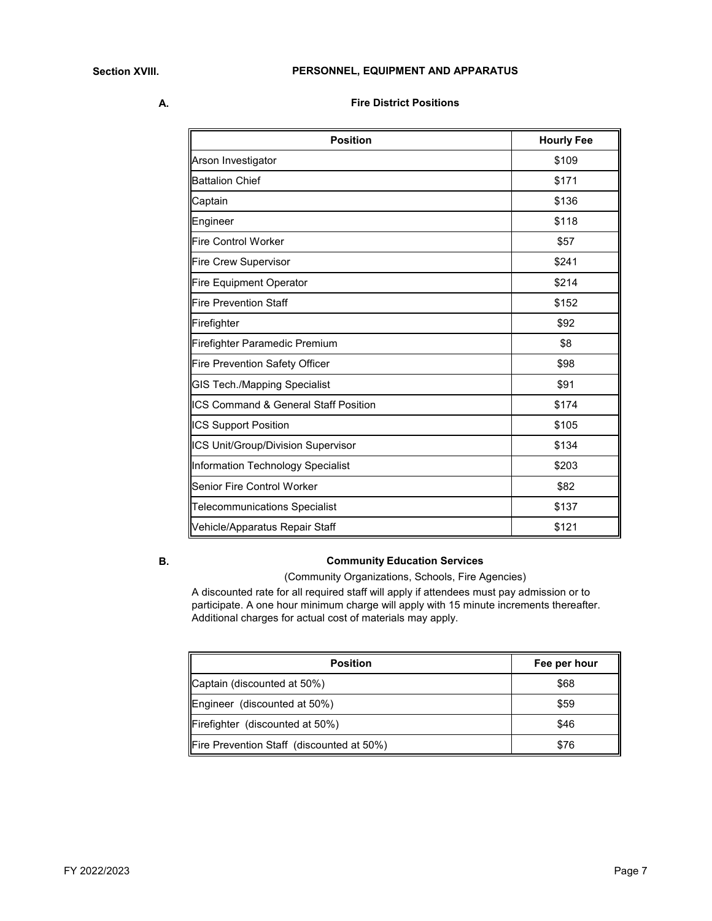**A.**

**Fire District Positions**

| <b>Position</b>                                 | <b>Hourly Fee</b> |
|-------------------------------------------------|-------------------|
| Arson Investigator                              | \$109             |
| <b>Battalion Chief</b>                          | \$171             |
| Captain                                         | \$136             |
| Engineer                                        | \$118             |
| <b>Fire Control Worker</b>                      | \$57              |
| <b>Fire Crew Supervisor</b>                     | \$241             |
| <b>Fire Equipment Operator</b>                  | \$214             |
| <b>Fire Prevention Staff</b>                    | \$152             |
| Firefighter                                     | \$92              |
| Firefighter Paramedic Premium                   | \$8               |
| <b>Fire Prevention Safety Officer</b>           | \$98              |
| GIS Tech./Mapping Specialist                    | \$91              |
| <b>ICS Command &amp; General Staff Position</b> | \$174             |
| <b>ICS Support Position</b>                     | \$105             |
| ICS Unit/Group/Division Supervisor              | \$134             |
| Information Technology Specialist               | \$203             |
| Senior Fire Control Worker                      | \$82              |
| Telecommunications Specialist                   | \$137             |
| Vehicle/Apparatus Repair Staff                  | \$121             |

### **B.**

## **Community Education Services**

(Community Organizations, Schools, Fire Agencies)

A discounted rate for all required staff will apply if attendees must pay admission or to participate. A one hour minimum charge will apply with 15 minute increments thereafter. Additional charges for actual cost of materials may apply.

| <b>Position</b>                           | Fee per hour |
|-------------------------------------------|--------------|
| Captain (discounted at 50%)               | \$68         |
| Engineer (discounted at 50%)              | \$59         |
| Firefighter (discounted at 50%)           | \$46         |
| Fire Prevention Staff (discounted at 50%) | \$76         |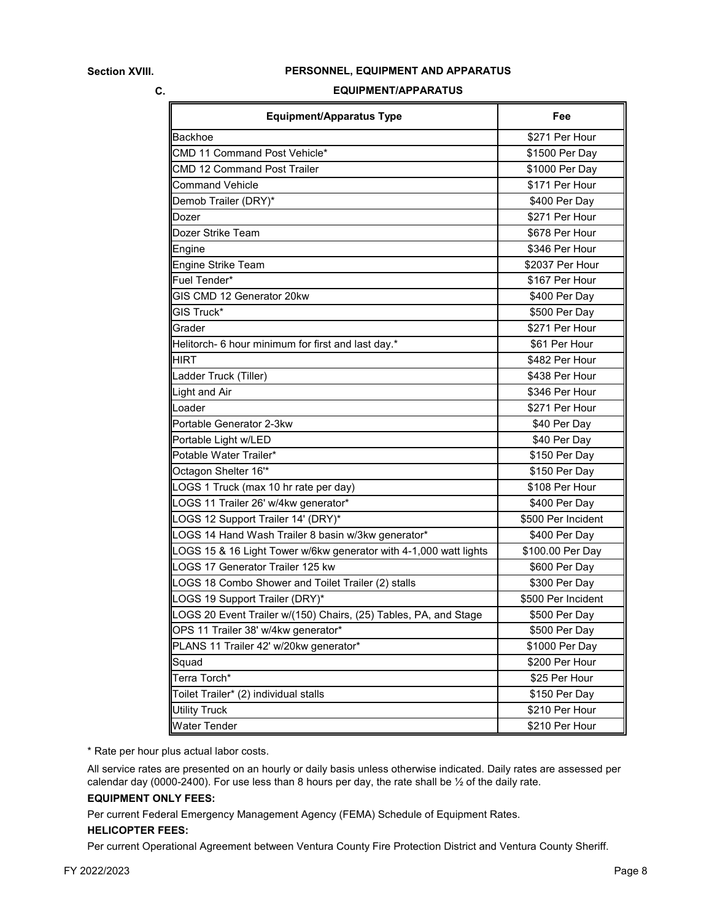#### **PERSONNEL, EQUIPMENT AND APPARATUS**

#### **C.**

#### **EQUIPMENT/APPARATUS**

| <b>Equipment/Apparatus Type</b>                                   | Fee                |
|-------------------------------------------------------------------|--------------------|
| Backhoe                                                           | \$271 Per Hour     |
| CMD 11 Command Post Vehicle*                                      | \$1500 Per Day     |
| CMD 12 Command Post Trailer                                       | \$1000 Per Day     |
| <b>Command Vehicle</b>                                            | \$171 Per Hour     |
| Demob Trailer (DRY)*                                              | \$400 Per Day      |
| Dozer                                                             | \$271 Per Hour     |
| Dozer Strike Team                                                 | \$678 Per Hour     |
| Engine                                                            | \$346 Per Hour     |
| Engine Strike Team                                                | \$2037 Per Hour    |
| Fuel Tender*                                                      | \$167 Per Hour     |
| GIS CMD 12 Generator 20kw                                         | \$400 Per Day      |
| GIS Truck*                                                        | \$500 Per Day      |
| Grader                                                            | \$271 Per Hour     |
| Helitorch- 6 hour minimum for first and last day.*                | \$61 Per Hour      |
| <b>HIRT</b>                                                       | \$482 Per Hour     |
| Ladder Truck (Tiller)                                             | \$438 Per Hour     |
| Light and Air                                                     | \$346 Per Hour     |
| Loader                                                            | \$271 Per Hour     |
| Portable Generator 2-3kw                                          | \$40 Per Day       |
| Portable Light w/LED                                              | \$40 Per Day       |
| Potable Water Trailer*                                            | \$150 Per Day      |
| Octagon Shelter 16 <sup>*</sup>                                   | \$150 Per Day      |
| LOGS 1 Truck (max 10 hr rate per day)                             | \$108 Per Hour     |
| LOGS 11 Trailer 26' w/4kw generator*                              | \$400 Per Day      |
| LOGS 12 Support Trailer 14' (DRY)*                                | \$500 Per Incident |
| LOGS 14 Hand Wash Trailer 8 basin w/3kw generator*                | \$400 Per Day      |
| LOGS 15 & 16 Light Tower w/6kw generator with 4-1,000 watt lights | \$100.00 Per Day   |
| LOGS 17 Generator Trailer 125 kw                                  | \$600 Per Day      |
| LOGS 18 Combo Shower and Toilet Trailer (2) stalls                | \$300 Per Day      |
| LOGS 19 Support Trailer (DRY)*                                    | \$500 Per Incident |
| LOGS 20 Event Trailer w/(150) Chairs, (25) Tables, PA, and Stage  | \$500 Per Day      |
| OPS 11 Trailer 38' w/4kw generator*                               | \$500 Per Day      |
| PLANS 11 Trailer 42' w/20kw generator*                            | \$1000 Per Day     |
| Squad                                                             | \$200 Per Hour     |
| Terra Torch*                                                      | \$25 Per Hour      |
| Toilet Trailer* (2) individual stalls                             | \$150 Per Day      |
| <b>Utility Truck</b>                                              | \$210 Per Hour     |
| <b>Water Tender</b>                                               | \$210 Per Hour     |

\* Rate per hour plus actual labor costs.

All service rates are presented on an hourly or daily basis unless otherwise indicated. Daily rates are assessed per calendar day (0000-2400). For use less than 8 hours per day, the rate shall be ½ of the daily rate.

#### **EQUIPMENT ONLY FEES:**

Per current Federal Emergency Management Agency (FEMA) Schedule of Equipment Rates.

### **HELICOPTER FEES:**

Per current Operational Agreement between Ventura County Fire Protection District and Ventura County Sheriff.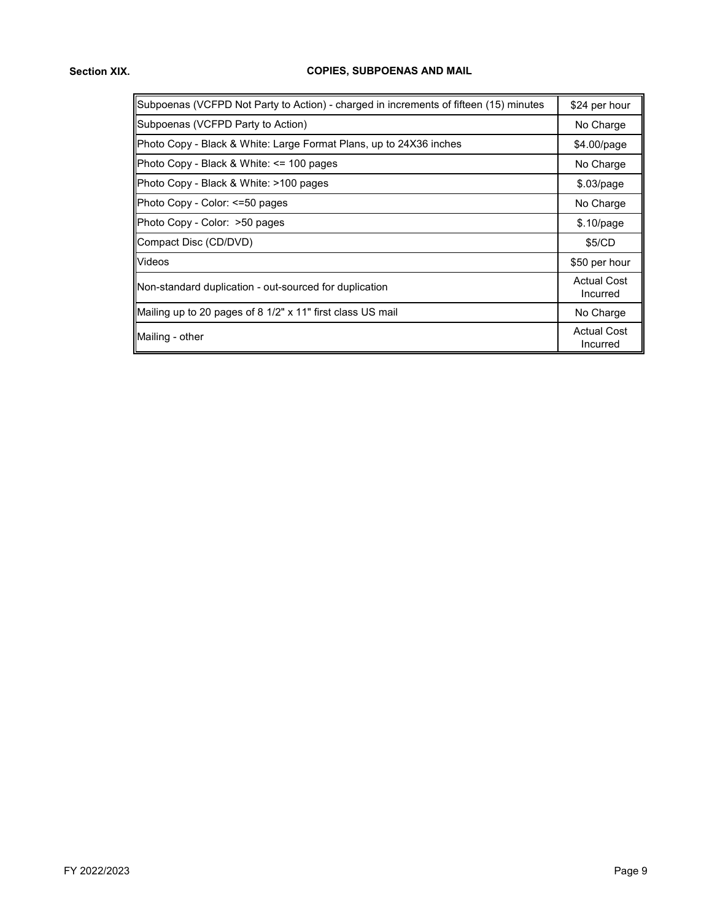## **COPIES, SUBPOENAS AND MAIL**

| Subpoenas (VCFPD Not Party to Action) - charged in increments of fifteen (15) minutes | \$24 per hour                  |
|---------------------------------------------------------------------------------------|--------------------------------|
| Subpoenas (VCFPD Party to Action)                                                     | No Charge                      |
| Photo Copy - Black & White: Large Format Plans, up to 24X36 inches                    | $$4.00$ /page                  |
| Photo Copy - Black & White: $\le$ 100 pages                                           | No Charge                      |
| Photo Copy - Black & White: >100 pages                                                | \$.03/page                     |
| Photo Copy - Color: <=50 pages                                                        | No Charge                      |
| Photo Copy - Color: >50 pages                                                         | \$.10/page                     |
| Compact Disc (CD/DVD)                                                                 | \$5/CD                         |
| Videos                                                                                | \$50 per hour                  |
| Non-standard duplication - out-sourced for duplication                                | <b>Actual Cost</b><br>Incurred |
| Mailing up to 20 pages of 8 1/2" x 11" first class US mail                            | No Charge                      |
| Mailing - other                                                                       | <b>Actual Cost</b><br>Incurred |